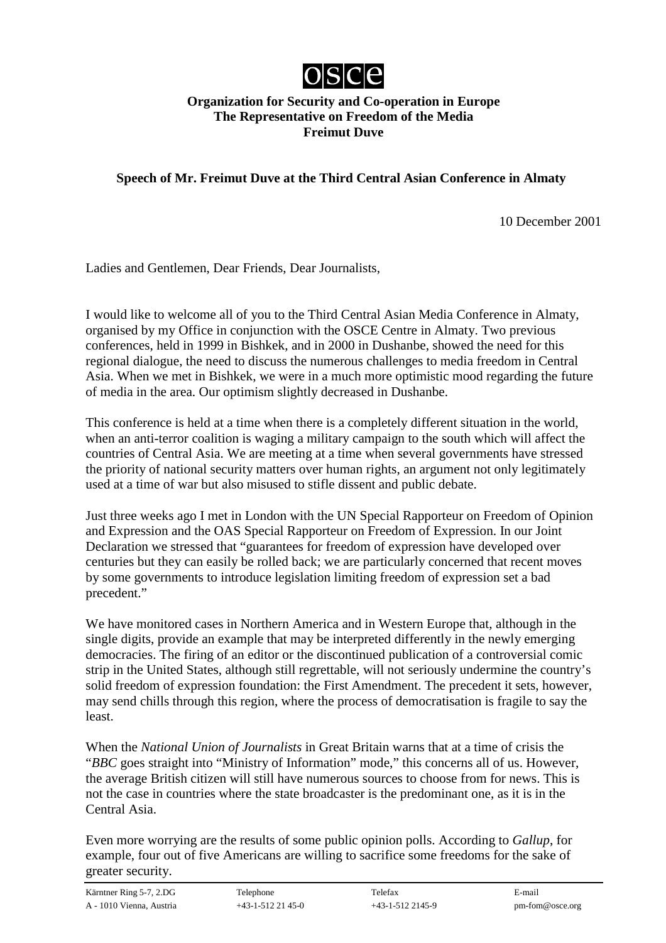

## **Organization for Security and Co-operation in Europe The Representative on Freedom of the Media Freimut Duve**

**Speech of Mr. Freimut Duve at the Third Central Asian Conference in Almaty**

10 December 2001

Ladies and Gentlemen, Dear Friends, Dear Journalists,

I would like to welcome all of you to the Third Central Asian Media Conference in Almaty, organised by my Office in conjunction with the OSCE Centre in Almaty. Two previous conferences, held in 1999 in Bishkek, and in 2000 in Dushanbe, showed the need for this regional dialogue, the need to discuss the numerous challenges to media freedom in Central Asia. When we met in Bishkek, we were in a much more optimistic mood regarding the future of media in the area. Our optimism slightly decreased in Dushanbe.

This conference is held at a time when there is a completely different situation in the world, when an anti-terror coalition is waging a military campaign to the south which will affect the countries of Central Asia. We are meeting at a time when several governments have stressed the priority of national security matters over human rights, an argument not only legitimately used at a time of war but also misused to stifle dissent and public debate.

Just three weeks ago I met in London with the UN Special Rapporteur on Freedom of Opinion and Expression and the OAS Special Rapporteur on Freedom of Expression. In our Joint Declaration we stressed that "guarantees for freedom of expression have developed over centuries but they can easily be rolled back; we are particularly concerned that recent moves by some governments to introduce legislation limiting freedom of expression set a bad precedent."

We have monitored cases in Northern America and in Western Europe that, although in the single digits, provide an example that may be interpreted differently in the newly emerging democracies. The firing of an editor or the discontinued publication of a controversial comic strip in the United States, although still regrettable, will not seriously undermine the country's solid freedom of expression foundation: the First Amendment. The precedent it sets, however, may send chills through this region, where the process of democratisation is fragile to say the least.

When the *National Union of Journalists* in Great Britain warns that at a time of crisis the "*BBC* goes straight into "Ministry of Information" mode," this concerns all of us. However, the average British citizen will still have numerous sources to choose from for news. This is not the case in countries where the state broadcaster is the predominant one, as it is in the Central Asia.

Even more worrying are the results of some public opinion polls. According to *Gallup*, for example, four out of five Americans are willing to sacrifice some freedoms for the sake of greater security.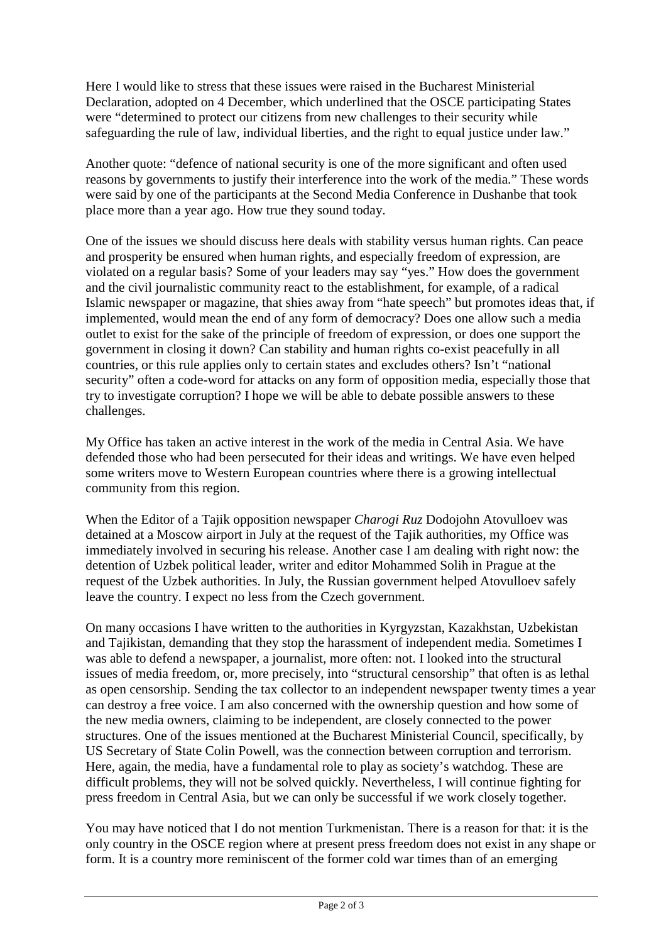Here I would like to stress that these issues were raised in the Bucharest Ministerial Declaration, adopted on 4 December, which underlined that the OSCE participating States were "determined to protect our citizens from new challenges to their security while safeguarding the rule of law, individual liberties, and the right to equal justice under law."

Another quote: "defence of national security is one of the more significant and often used reasons by governments to justify their interference into the work of the media." These words were said by one of the participants at the Second Media Conference in Dushanbe that took place more than a year ago. How true they sound today.

One of the issues we should discuss here deals with stability versus human rights. Can peace and prosperity be ensured when human rights, and especially freedom of expression, are violated on a regular basis? Some of your leaders may say "yes." How does the government and the civil journalistic community react to the establishment, for example, of a radical Islamic newspaper or magazine, that shies away from "hate speech" but promotes ideas that, if implemented, would mean the end of any form of democracy? Does one allow such a media outlet to exist for the sake of the principle of freedom of expression, or does one support the government in closing it down? Can stability and human rights co-exist peacefully in all countries, or this rule applies only to certain states and excludes others? Isn't "national security" often a code-word for attacks on any form of opposition media, especially those that try to investigate corruption? I hope we will be able to debate possible answers to these challenges.

My Office has taken an active interest in the work of the media in Central Asia. We have defended those who had been persecuted for their ideas and writings. We have even helped some writers move to Western European countries where there is a growing intellectual community from this region.

When the Editor of a Tajik opposition newspaper *Charogi Ruz* Dodojohn Atovulloev was detained at a Moscow airport in July at the request of the Tajik authorities, my Office was immediately involved in securing his release. Another case I am dealing with right now: the detention of Uzbek political leader, writer and editor Mohammed Solih in Prague at the request of the Uzbek authorities. In July, the Russian government helped Atovulloev safely leave the country. I expect no less from the Czech government.

On many occasions I have written to the authorities in Kyrgyzstan, Kazakhstan, Uzbekistan and Tajikistan, demanding that they stop the harassment of independent media. Sometimes I was able to defend a newspaper, a journalist, more often: not. I looked into the structural issues of media freedom, or, more precisely, into "structural censorship" that often is as lethal as open censorship. Sending the tax collector to an independent newspaper twenty times a year can destroy a free voice. I am also concerned with the ownership question and how some of the new media owners, claiming to be independent, are closely connected to the power structures. One of the issues mentioned at the Bucharest Ministerial Council, specifically, by US Secretary of State Colin Powell, was the connection between corruption and terrorism. Here, again, the media, have a fundamental role to play as society's watchdog. These are difficult problems, they will not be solved quickly. Nevertheless, I will continue fighting for press freedom in Central Asia, but we can only be successful if we work closely together.

You may have noticed that I do not mention Turkmenistan. There is a reason for that: it is the only country in the OSCE region where at present press freedom does not exist in any shape or form. It is a country more reminiscent of the former cold war times than of an emerging